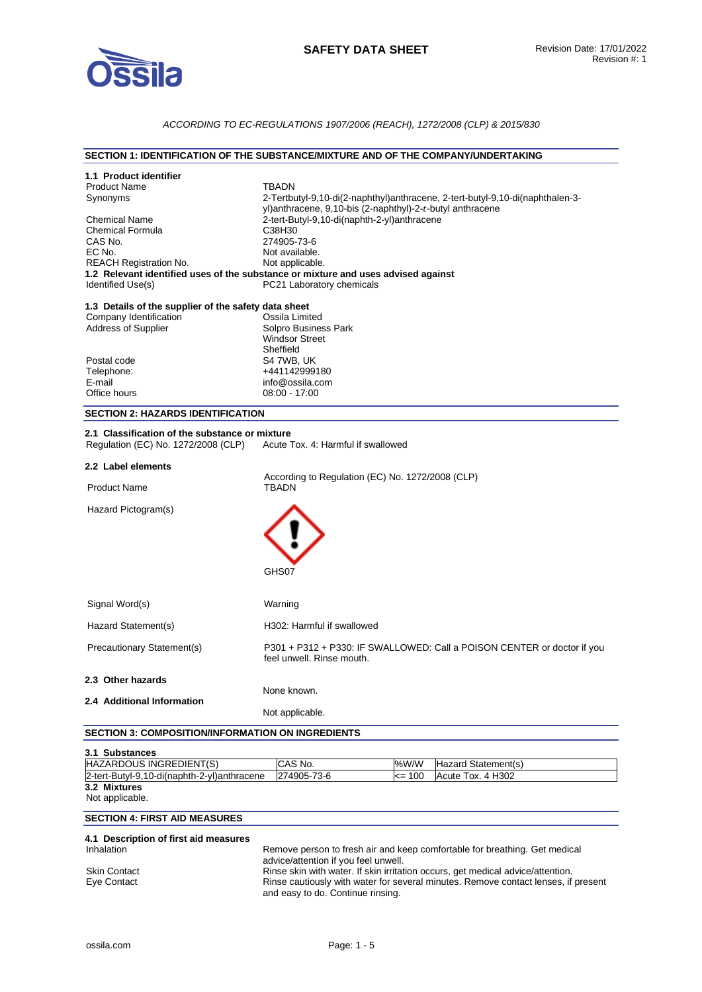

## *ACCORDING TO EC-REGULATIONS 1907/2006 (REACH), 1272/2008 (CLP) & 2015/830*

### **SECTION 1: IDENTIFICATION OF THE SUBSTANCE/MIXTURE AND OF THE COMPANY/UNDERTAKING**

| 1.1 Product identifier<br><b>Product Name</b><br>Synonyms<br><b>Chemical Name</b><br><b>Chemical Formula</b><br>CAS No.<br>EC No.<br><b>REACH Registration No.</b><br>Identified Use(s)<br>1.3 Details of the supplier of the safety data sheet<br>Company Identification<br><b>Address of Supplier</b><br>Postal code<br>Telephone:<br>E-mail<br>Office hours<br><b>SECTION 2: HAZARDS IDENTIFICATION</b><br>2.1 Classification of the substance or mixture<br>Regulation (EC) No. 1272/2008 (CLP) | TBADN<br>2-Tertbutyl-9,10-di(2-naphthyl)anthracene, 2-tert-butyl-9,10-di(naphthalen-3-<br>yl)anthracene, 9,10-bis (2-naphthyl)-2-t-butyl anthracene<br>2-tert-Butyl-9,10-di(naphth-2-yl)anthracene<br>C38H30<br>274905-73-6<br>Not available.<br>Not applicable.<br>1.2 Relevant identified uses of the substance or mixture and uses advised against<br>PC21 Laboratory chemicals<br>Ossila Limited<br>Solpro Business Park<br><b>Windsor Street</b><br>Sheffield<br>S4 7WB, UK<br>+441142999180<br>info@ossila.com<br>08:00 - 17:00<br>Acute Tox, 4: Harmful if swallowed |  |  |
|-----------------------------------------------------------------------------------------------------------------------------------------------------------------------------------------------------------------------------------------------------------------------------------------------------------------------------------------------------------------------------------------------------------------------------------------------------------------------------------------------------|-----------------------------------------------------------------------------------------------------------------------------------------------------------------------------------------------------------------------------------------------------------------------------------------------------------------------------------------------------------------------------------------------------------------------------------------------------------------------------------------------------------------------------------------------------------------------------|--|--|
| 2.2 Label elements                                                                                                                                                                                                                                                                                                                                                                                                                                                                                  |                                                                                                                                                                                                                                                                                                                                                                                                                                                                                                                                                                             |  |  |
| <b>Product Name</b>                                                                                                                                                                                                                                                                                                                                                                                                                                                                                 | According to Regulation (EC) No. 1272/2008 (CLP)<br>TBADN                                                                                                                                                                                                                                                                                                                                                                                                                                                                                                                   |  |  |
| Hazard Pictogram(s)                                                                                                                                                                                                                                                                                                                                                                                                                                                                                 | GHS07                                                                                                                                                                                                                                                                                                                                                                                                                                                                                                                                                                       |  |  |
| Signal Word(s)                                                                                                                                                                                                                                                                                                                                                                                                                                                                                      | Warning                                                                                                                                                                                                                                                                                                                                                                                                                                                                                                                                                                     |  |  |
| Hazard Statement(s)                                                                                                                                                                                                                                                                                                                                                                                                                                                                                 | H302: Harmful if swallowed                                                                                                                                                                                                                                                                                                                                                                                                                                                                                                                                                  |  |  |
| Precautionary Statement(s)                                                                                                                                                                                                                                                                                                                                                                                                                                                                          | P301 + P312 + P330: IF SWALLOWED: Call a POISON CENTER or doctor if you<br>feel unwell. Rinse mouth.                                                                                                                                                                                                                                                                                                                                                                                                                                                                        |  |  |
| 2.3 Other hazards                                                                                                                                                                                                                                                                                                                                                                                                                                                                                   | None known                                                                                                                                                                                                                                                                                                                                                                                                                                                                                                                                                                  |  |  |
| 2.4 Additional Information                                                                                                                                                                                                                                                                                                                                                                                                                                                                          |                                                                                                                                                                                                                                                                                                                                                                                                                                                                                                                                                                             |  |  |
| <b>SECTION 3: COMPOSITION/INFORMATION ON INGREDIENTS</b>                                                                                                                                                                                                                                                                                                                                                                                                                                            | Not applicable.                                                                                                                                                                                                                                                                                                                                                                                                                                                                                                                                                             |  |  |
|                                                                                                                                                                                                                                                                                                                                                                                                                                                                                                     |                                                                                                                                                                                                                                                                                                                                                                                                                                                                                                                                                                             |  |  |
| 3.1 Substances<br>HAZARDOUS INGREDIENT(S)                                                                                                                                                                                                                                                                                                                                                                                                                                                           | CAS No.<br>%W/W<br>Hazard Statement(s)                                                                                                                                                                                                                                                                                                                                                                                                                                                                                                                                      |  |  |
| 2-tert-Butyl-9,10-di(naphth-2-yl)anthracene                                                                                                                                                                                                                                                                                                                                                                                                                                                         | 274905-73-6<br>Acute Tox. 4 H302<br><= 100                                                                                                                                                                                                                                                                                                                                                                                                                                                                                                                                  |  |  |
| 3.2 Mixtures<br>Not applicable.                                                                                                                                                                                                                                                                                                                                                                                                                                                                     |                                                                                                                                                                                                                                                                                                                                                                                                                                                                                                                                                                             |  |  |
| <b>SECTION 4: FIRST AID MEASURES</b>                                                                                                                                                                                                                                                                                                                                                                                                                                                                |                                                                                                                                                                                                                                                                                                                                                                                                                                                                                                                                                                             |  |  |
| 4.1 Description of first aid measures<br>Inhalation<br>Skin Contact<br>Eye Contact                                                                                                                                                                                                                                                                                                                                                                                                                  | Remove person to fresh air and keep comfortable for breathing. Get medical<br>advice/attention if you feel unwell.<br>Rinse skin with water. If skin irritation occurs, get medical advice/attention.<br>Rinse cautiously with water for several minutes. Remove contact lenses, if present<br>and easy to do. Continue rinsing.                                                                                                                                                                                                                                            |  |  |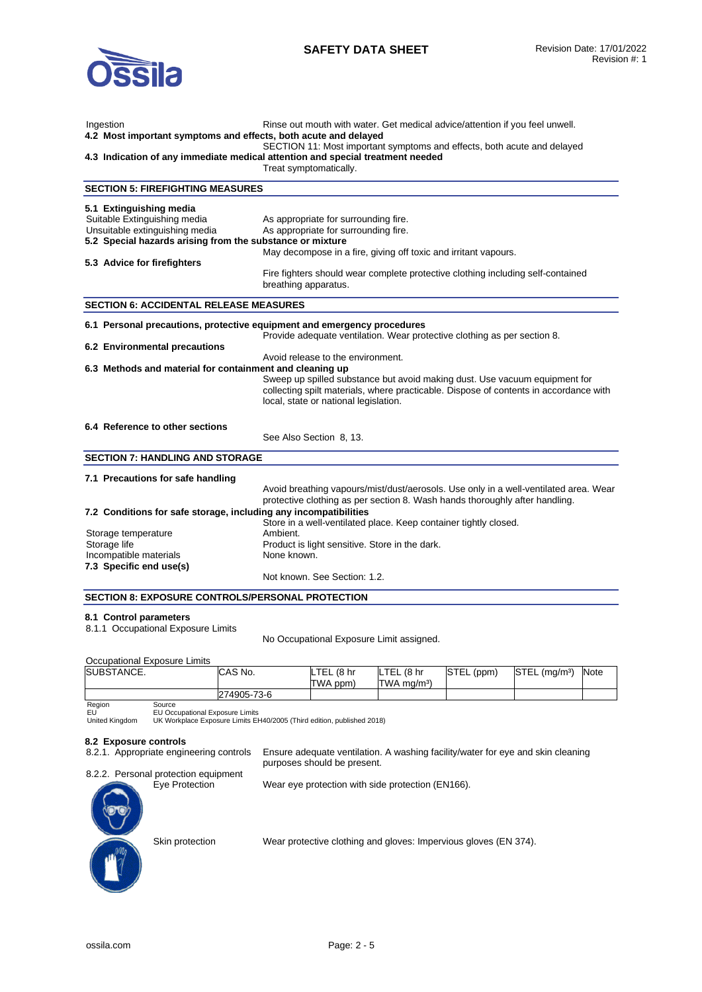

| Ingestion<br>4.2 Most important symptoms and effects, both acute and delayed                                                                           | Rinse out mouth with water. Get medical advice/attention if you feel unwell.<br>SECTION 11: Most important symptoms and effects, both acute and delayed<br>4.3 Indication of any immediate medical attention and special treatment needed<br>Treat symptomatically. |
|--------------------------------------------------------------------------------------------------------------------------------------------------------|---------------------------------------------------------------------------------------------------------------------------------------------------------------------------------------------------------------------------------------------------------------------|
| <b>SECTION 5: FIREFIGHTING MEASURES</b>                                                                                                                |                                                                                                                                                                                                                                                                     |
| 5.1 Extinguishing media<br>Suitable Extinguishing media<br>Unsuitable extinguishing media<br>5.2 Special hazards arising from the substance or mixture | As appropriate for surrounding fire.<br>As appropriate for surrounding fire.<br>May decompose in a fire, giving off toxic and irritant vapours.                                                                                                                     |
| 5.3 Advice for firefighters                                                                                                                            |                                                                                                                                                                                                                                                                     |
|                                                                                                                                                        | Fire fighters should wear complete protective clothing including self-contained<br>breathing apparatus.                                                                                                                                                             |
| <b>SECTION 6: ACCIDENTAL RELEASE MEASURES</b>                                                                                                          |                                                                                                                                                                                                                                                                     |
| 6.1 Personal precautions, protective equipment and emergency procedures                                                                                |                                                                                                                                                                                                                                                                     |
| 6.2 Environmental precautions                                                                                                                          | Provide adequate ventilation. Wear protective clothing as per section 8.<br>Avoid release to the environment.                                                                                                                                                       |
| 6.3 Methods and material for containment and cleaning up                                                                                               | Sweep up spilled substance but avoid making dust. Use vacuum equipment for<br>collecting spilt materials, where practicable. Dispose of contents in accordance with<br>local, state or national legislation.                                                        |
| 6.4 Reference to other sections                                                                                                                        | See Also Section 8, 13.                                                                                                                                                                                                                                             |
| <b>SECTION 7: HANDLING AND STORAGE</b>                                                                                                                 |                                                                                                                                                                                                                                                                     |
| 7.1 Precautions for safe handling                                                                                                                      |                                                                                                                                                                                                                                                                     |
|                                                                                                                                                        | Avoid breathing vapours/mist/dust/aerosols. Use only in a well-ventilated area. Wear<br>protective clothing as per section 8. Wash hands thoroughly after handling.                                                                                                 |
| 7.2 Conditions for safe storage, including any incompatibilities                                                                                       | Store in a well-ventilated place. Keep container tightly closed.                                                                                                                                                                                                    |
| Storage temperature                                                                                                                                    | Ambient.                                                                                                                                                                                                                                                            |
| Storage life                                                                                                                                           | Product is light sensitive. Store in the dark.                                                                                                                                                                                                                      |
| Incompatible materials<br>7.3 Specific end use(s)                                                                                                      | None known.                                                                                                                                                                                                                                                         |
|                                                                                                                                                        | Not known. See Section: 1.2.                                                                                                                                                                                                                                        |
| SECTION 8: EXPOSURE CONTROLS/PERSONAL PROTECTION                                                                                                       |                                                                                                                                                                                                                                                                     |

### **8.1 Control parameters**

8.1.1 Occupational Exposure Limits

No Occupational Exposure Limit assigned.

### Occupational Exposure Limits

| SUBSTANCE.     |                                                                        | CAS No.     | LTEL (8 hr | LTEL (8 hr                | STEL (ppm) | $STEL$ (mg/m <sup>3</sup> ) | Note |
|----------------|------------------------------------------------------------------------|-------------|------------|---------------------------|------------|-----------------------------|------|
|                |                                                                        |             | TWA ppm)   | $TWA$ ma/m <sup>3</sup> ) |            |                             |      |
|                |                                                                        | 274905-73-6 |            |                           |            |                             |      |
| Region         | Source                                                                 |             |            |                           |            |                             |      |
| EU             | <b>EU Occupational Exposure Limits</b>                                 |             |            |                           |            |                             |      |
| United Kinadom | UK Workplace Exposure Limits EH40/2005 (Third edition, published 2018) |             |            |                           |            |                             |      |

```
Region
EU
United Kingdom
```
# **8.2 Exposure controls**

| 8.2.1. Appropriate engineering controls | Ensure adequate ventilation. A washing facility/water for eye and skin cleaning<br>purposes should be present. |
|-----------------------------------------|----------------------------------------------------------------------------------------------------------------|
| 8.2.2. Personal protection equipment    |                                                                                                                |
| Eye Protection<br>C                     | Wear eye protection with side protection (EN166).                                                              |

Skin protection Wear protective clothing and gloves: Impervious gloves (EN 374).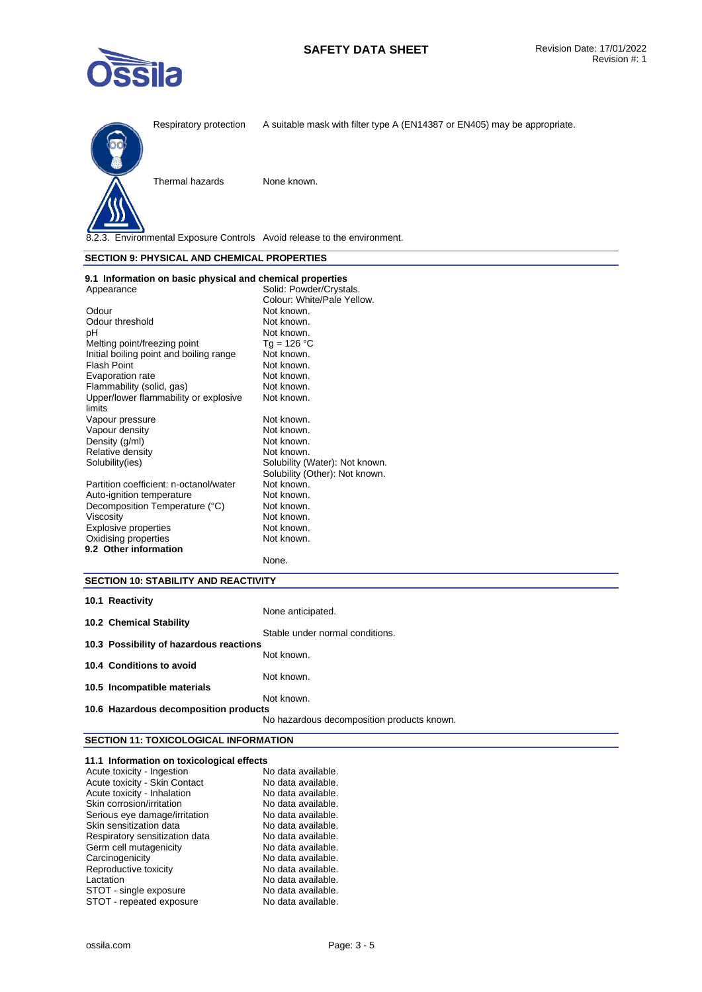



Thermal hazards None known.

8.2.3. Environmental Exposure Controls Avoid release to the environment.

### **SECTION 9: PHYSICAL AND CHEMICAL PROPERTIES**

| 9.1 Information on basic physical and chemical properties |                                |
|-----------------------------------------------------------|--------------------------------|
| Appearance                                                | Solid: Powder/Crystals.        |
|                                                           | Colour: White/Pale Yellow.     |
| Odour                                                     | Not known.                     |
| Odour threshold                                           | Not known.                     |
| рH                                                        | Not known.                     |
| Melting point/freezing point                              | Tg = 126 °C                    |
| Initial boiling point and boiling range                   | Not known.                     |
| Flash Point                                               | Not known.                     |
| Evaporation rate                                          | Not known.                     |
| Flammability (solid, gas)                                 | Not known.                     |
| Upper/lower flammability or explosive                     | Not known.                     |
| limits                                                    |                                |
| Vapour pressure                                           | Not known.                     |
| Vapour density                                            | Not known.                     |
| Density (g/ml)                                            | Not known.                     |
| Relative density                                          | Not known.                     |
| Solubility(ies)                                           | Solubility (Water): Not known. |
|                                                           | Solubility (Other): Not known. |
| Partition coefficient: n-octanol/water                    | Not known.                     |
| Auto-ignition temperature                                 | Not known.                     |
| Decomposition Temperature (°C)                            | Not known.                     |
| Viscosity                                                 | Not known.                     |
| <b>Explosive properties</b>                               | Not known.                     |
| Oxidising properties                                      | Not known.                     |
| 9.2 Other information                                     |                                |
|                                                           | None.                          |

## **SECTION 10: STABILITY AND REACTIVITY**

| 10.1 Reactivity                         |                                            |
|-----------------------------------------|--------------------------------------------|
|                                         | None anticipated.                          |
| 10.2 Chemical Stability                 |                                            |
|                                         | Stable under normal conditions.            |
| 10.3 Possibility of hazardous reactions |                                            |
|                                         | Not known.                                 |
| 10.4 Conditions to avoid                |                                            |
|                                         | Not known.                                 |
| 10.5 Incompatible materials             |                                            |
|                                         | Not known.                                 |
| 10.6 Hazardous decomposition products   |                                            |
|                                         | No hazardous decomposition products known. |

# **SECTION 11: TOXICOLOGICAL INFORMATION**

| 11.1 Information on toxicological effects |                    |
|-------------------------------------------|--------------------|
| Acute toxicity - Ingestion                | No data available. |
| Acute toxicity - Skin Contact             | No data available. |
| Acute toxicity - Inhalation               | No data available. |
| Skin corrosion/irritation                 | No data available. |
| Serious eye damage/irritation             | No data available. |
| Skin sensitization data                   | No data available. |
| Respiratory sensitization data            | No data available. |
| Germ cell mutagenicity                    | No data available. |
| Carcinogenicity                           | No data available. |
| Reproductive toxicity                     | No data available. |
| Lactation                                 | No data available. |
| STOT - single exposure                    | No data available. |
| STOT - repeated exposure                  | No data available. |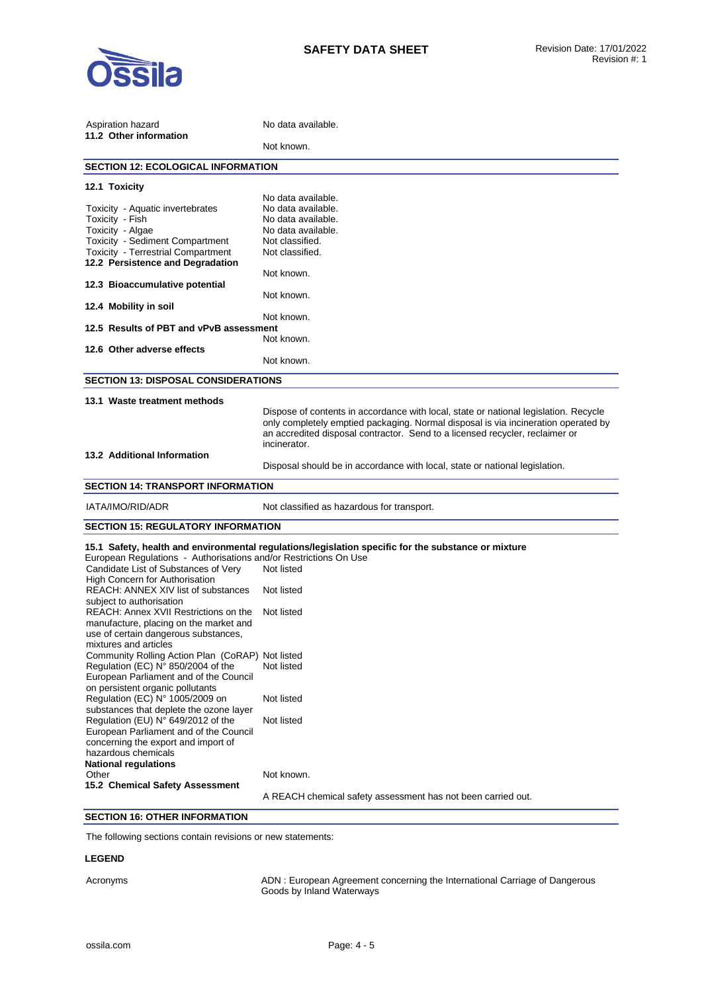

| Aspiration hazard                                                            | No data available.                                                                                  |  |  |
|------------------------------------------------------------------------------|-----------------------------------------------------------------------------------------------------|--|--|
| 11.2 Other information                                                       | Not known.                                                                                          |  |  |
| <b>SECTION 12: ECOLOGICAL INFORMATION</b>                                    |                                                                                                     |  |  |
| 12.1 Toxicity                                                                |                                                                                                     |  |  |
|                                                                              | No data available.                                                                                  |  |  |
| Toxicity - Aquatic invertebrates                                             | No data available.                                                                                  |  |  |
| Toxicity - Fish<br>Toxicity - Algae                                          | No data available.<br>No data available.                                                            |  |  |
| Toxicity - Sediment Compartment                                              | Not classified.                                                                                     |  |  |
| <b>Toxicity - Terrestrial Compartment</b>                                    | Not classified.                                                                                     |  |  |
| 12.2 Persistence and Degradation                                             |                                                                                                     |  |  |
|                                                                              | Not known.                                                                                          |  |  |
| 12.3 Bioaccumulative potential                                               |                                                                                                     |  |  |
|                                                                              | Not known.                                                                                          |  |  |
| 12.4 Mobility in soil                                                        |                                                                                                     |  |  |
| 12.5 Results of PBT and vPvB assessment                                      | Not known.                                                                                          |  |  |
|                                                                              | Not known.                                                                                          |  |  |
| 12.6 Other adverse effects                                                   |                                                                                                     |  |  |
|                                                                              | Not known.                                                                                          |  |  |
| <b>SECTION 13: DISPOSAL CONSIDERATIONS</b>                                   |                                                                                                     |  |  |
| 13.1 Waste treatment methods                                                 |                                                                                                     |  |  |
|                                                                              | Dispose of contents in accordance with local, state or national legislation. Recycle                |  |  |
|                                                                              | only completely emptied packaging. Normal disposal is via incineration operated by                  |  |  |
|                                                                              | an accredited disposal contractor. Send to a licensed recycler, reclaimer or                        |  |  |
|                                                                              | incinerator.                                                                                        |  |  |
| 13.2 Additional Information                                                  |                                                                                                     |  |  |
|                                                                              | Disposal should be in accordance with local, state or national legislation.                         |  |  |
| <b>SECTION 14: TRANSPORT INFORMATION</b>                                     |                                                                                                     |  |  |
| IATA/IMO/RID/ADR                                                             | Not classified as hazardous for transport.                                                          |  |  |
| <b>SECTION 15: REGULATORY INFORMATION</b>                                    |                                                                                                     |  |  |
|                                                                              | 15.1 Safety, health and environmental regulations/legislation specific for the substance or mixture |  |  |
| European Regulations - Authorisations and/or Restrictions On Use             |                                                                                                     |  |  |
| Candidate List of Substances of Very                                         | Not listed                                                                                          |  |  |
| <b>High Concern for Authorisation</b><br>REACH: ANNEX XIV list of substances | Not listed                                                                                          |  |  |
| subject to authorisation                                                     |                                                                                                     |  |  |
| REACH: Annex XVII Restrictions on the                                        | Not listed                                                                                          |  |  |
| manufacture, placing on the market and                                       |                                                                                                     |  |  |
| use of certain dangerous substances,                                         |                                                                                                     |  |  |
| mixtures and articles                                                        |                                                                                                     |  |  |
| Community Rolling Action Plan (CoRAP) Not listed                             |                                                                                                     |  |  |
| Regulation (EC) N° 850/2004 of the                                           | Not listed                                                                                          |  |  |
| European Parliament and of the Council                                       |                                                                                                     |  |  |
| on persistent organic pollutants<br>Regulation (EC) N° 1005/2009 on          | Not listed                                                                                          |  |  |
| substances that deplete the ozone layer                                      |                                                                                                     |  |  |
| Regulation (EU) N° 649/2012 of the                                           | Not listed                                                                                          |  |  |
| European Parliament and of the Council                                       |                                                                                                     |  |  |
| concerning the export and import of                                          |                                                                                                     |  |  |
| hazardous chemicals                                                          |                                                                                                     |  |  |
| <b>National regulations</b>                                                  |                                                                                                     |  |  |
| Other<br>15.2 Chemical Safety Assessment                                     | Not known.                                                                                          |  |  |
|                                                                              | A REACH chemical safety assessment has not been carried out.                                        |  |  |
|                                                                              |                                                                                                     |  |  |

# **SECTION 16: OTHER INFORMATION**

The following sections contain revisions or new statements:

## **LEGEND**

Acronyms ADN : European Agreement concerning the International Carriage of Dangerous Goods by Inland Waterways